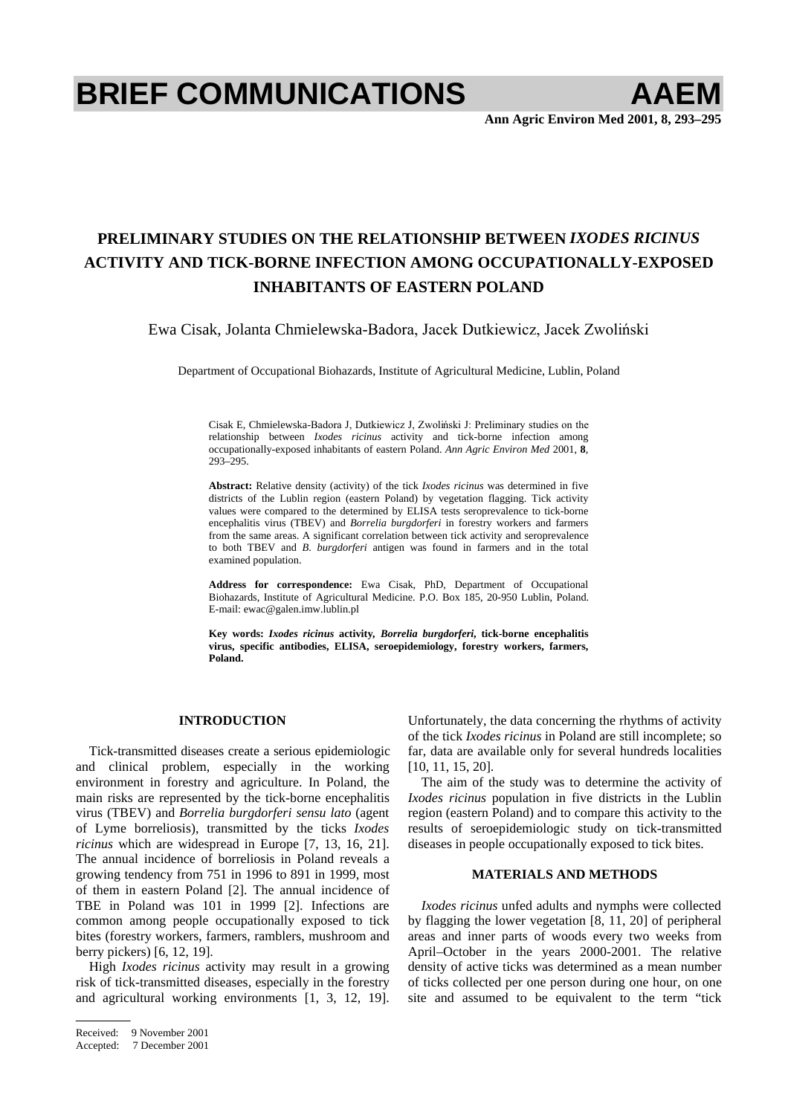# **BRIEF COMMUNICATIONS AAEM**

**Ann Agric Environ Med 2001, 8, 293–295**

# **PRELIMINARY STUDIES ON THE RELATIONSHIP BETWEEN** *IXODES RICINUS*  **ACTIVITY AND TICK-BORNE INFECTION AMONG OCCUPATIONALLY-EXPOSED INHABITANTS OF EASTERN POLAND**

Ewa Cisak, Jolanta Chmielewska-Badora, Jacek Dutkiewicz, Jacek Zwoliński

Department of Occupational Biohazards, Institute of Agricultural Medicine, Lublin, Poland

Cisak E, Chmielewska-Badora J, Dutkiewicz J, Zwoliński J: Preliminary studies on the relationship between *Ixodes ricinus* activity and tick-borne infection among occupationally-exposed inhabitants of eastern Poland. *Ann Agric Environ Med* 2001, **8**, 293–295.

**Abstract:** Relative density (activity) of the tick *Ixodes ricinus* was determined in five districts of the Lublin region (eastern Poland) by vegetation flagging. Tick activity values were compared to the determined by ELISA tests seroprevalence to tick-borne encephalitis virus (TBEV) and *Borrelia burgdorferi* in forestry workers and farmers from the same areas. A significant correlation between tick activity and seroprevalence to both TBEV and *B*. *burgdorferi* antigen was found in farmers and in the total examined population.

**Address for correspondence:** Ewa Cisak, PhD, Department of Occupational Biohazards, Institute of Agricultural Medicine. P.O. Box 185, 20-950 Lublin, Poland. E-mail: ewac@galen.imw.lublin.pl

**Key words:** *Ixodes ricinus* **activity***, Borrelia burgdorferi***, tick-borne encephalitis virus, specific antibodies, ELISA, seroepidemiology, forestry workers, farmers, Poland.**

## **INTRODUCTION**

Tick-transmitted diseases create a serious epidemiologic and clinical problem, especially in the working environment in forestry and agriculture. In Poland, the main risks are represented by the tick-borne encephalitis virus (TBEV) and *Borrelia burgdorferi sensu lato* (agent of Lyme borreliosis), transmitted by the ticks *Ixodes ricinus* which are widespread in Europe [7, 13, 16, 21]. The annual incidence of borreliosis in Poland reveals a growing tendency from 751 in 1996 to 891 in 1999, most of them in eastern Poland [2]. The annual incidence of TBE in Poland was 101 in 1999 [2]. Infections are common among people occupationally exposed to tick bites (forestry workers, farmers, ramblers, mushroom and berry pickers) [6, 12, 19].

High *Ixodes ricinus* activity may result in a growing risk of tick-transmitted diseases, especially in the forestry and agricultural working environments [1, 3, 12, 19].

Unfortunately, the data concerning the rhythms of activity of the tick *Ixodes ricinus* in Poland are still incomplete; so far, data are available only for several hundreds localities [10, 11, 15, 20].

The aim of the study was to determine the activity of *Ixodes ricinus* population in five districts in the Lublin region (eastern Poland) and to compare this activity to the results of seroepidemiologic study on tick-transmitted diseases in people occupationally exposed to tick bites.

# **MATERIALS AND METHODS**

*Ixodes ricinus* unfed adults and nymphs were collected by flagging the lower vegetation [8, 11, 20] of peripheral areas and inner parts of woods every two weeks from April–October in the years 2000-2001. The relative density of active ticks was determined as a mean number of ticks collected per one person during one hour, on one site and assumed to be equivalent to the term "tick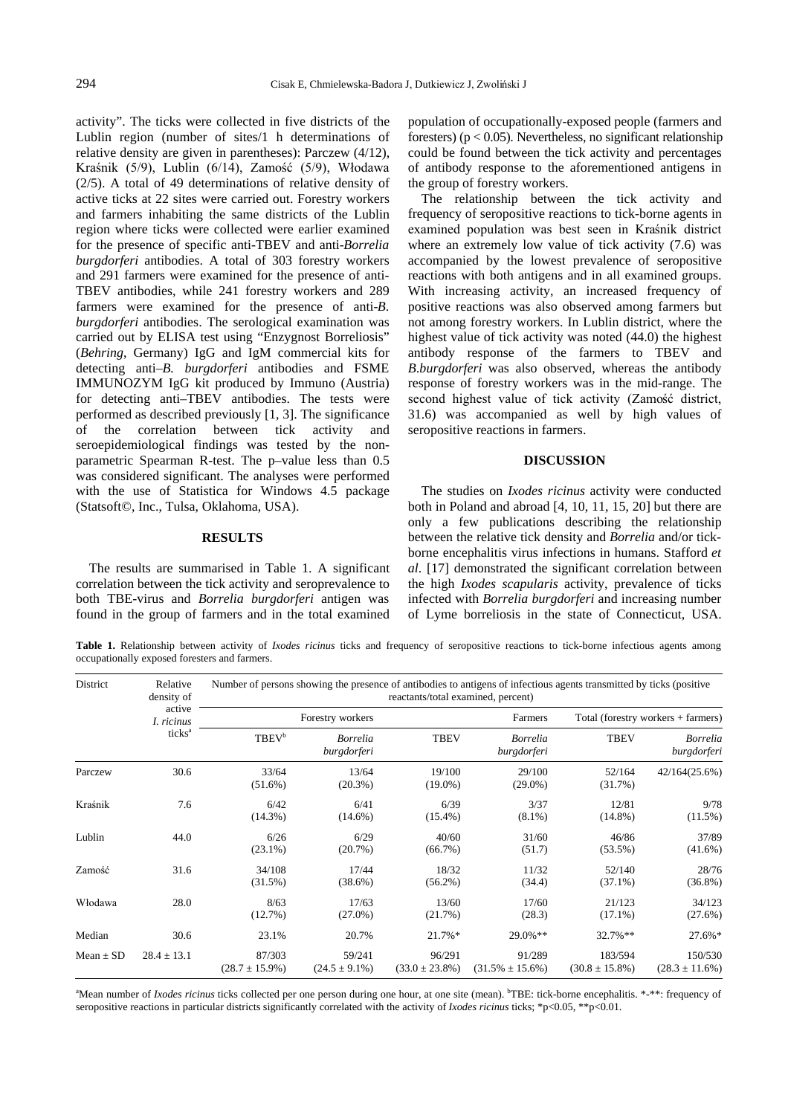activity". The ticks were collected in five districts of the Lublin region (number of sites/1 h determinations of relative density are given in parentheses): Parczew (4/12), Kraśnik (5/9), Lublin (6/14), Zamość (5/9), Włodawa (2/5). A total of 49 determinations of relative density of active ticks at 22 sites were carried out. Forestry workers and farmers inhabiting the same districts of the Lublin region where ticks were collected were earlier examined for the presence of specific anti-TBEV and anti-*Borrelia burgdorferi* antibodies. A total of 303 forestry workers and 291 farmers were examined for the presence of anti-TBEV antibodies, while 241 forestry workers and 289 farmers were examined for the presence of anti-*B*. *burgdorferi* antibodies. The serological examination was carried out by ELISA test using "Enzygnost Borreliosis" (*Behring*, Germany) IgG and IgM commercial kits for detecting anti–*B. burgdorferi* antibodies and FSME IMMUNOZYM IgG kit produced by Immuno (Austria) for detecting anti–TBEV antibodies. The tests were performed as described previously [1, 3]. The significance of the correlation between tick activity and seroepidemiological findings was tested by the nonparametric Spearman R-test. The p–value less than 0.5 was considered significant. The analyses were performed with the use of Statistica for Windows 4.5 package (Statsoft©, Inc., Tulsa, Oklahoma, USA).

### **RESULTS**

The results are summarised in Table 1. A significant correlation between the tick activity and seroprevalence to both TBE-virus and *Borrelia burgdorferi* antigen was found in the group of farmers and in the total examined population of occupationally-exposed people (farmers and foresters) ( $p < 0.05$ ). Nevertheless, no significant relationship could be found between the tick activity and percentages of antibody response to the aforementioned antigens in the group of forestry workers.

The relationship between the tick activity and frequency of seropositive reactions to tick-borne agents in examined population was best seen in Kraśnik district where an extremely low value of tick activity  $(7.6)$  was accompanied by the lowest prevalence of seropositive reactions with both antigens and in all examined groups. With increasing activity, an increased frequency of positive reactions was also observed among farmers but not among forestry workers. In Lublin district, where the highest value of tick activity was noted (44.0) the highest antibody response of the farmers to TBEV and *B*.*burgdorferi* was also observed, whereas the antibody response of forestry workers was in the mid-range. The second highest value of tick activity (Zamość district, 31.6) was accompanied as well by high values of seropositive reactions in farmers.

#### **DISCUSSION**

The studies on *Ixodes ricinus* activity were conducted both in Poland and abroad [4, 10, 11, 15, 20] but there are only a few publications describing the relationship between the relative tick density and *Borrelia* and/or tickborne encephalitis virus infections in humans. Stafford *et al*. [17] demonstrated the significant correlation between the high *Ixodes scapularis* activity, prevalence of ticks infected with *Borrelia burgdorferi* and increasing number of Lyme borreliosis in the state of Connecticut, USA.

Table 1. Relationship between activity of *Ixodes ricinus* ticks and frequency of seropositive reactions to tick-borne infectious agents among occupationally exposed foresters and farmers.

| District      | Relative<br>density of<br>active<br>I. ricinus<br>ticks <sup>a</sup> | Number of persons showing the presence of antibodies to antigens of infectious agents transmitted by ticks (positive<br>reactants/total examined, percent) |                                |                               |                                 |                                      |                                |
|---------------|----------------------------------------------------------------------|------------------------------------------------------------------------------------------------------------------------------------------------------------|--------------------------------|-------------------------------|---------------------------------|--------------------------------------|--------------------------------|
|               |                                                                      | Forestry workers                                                                                                                                           |                                |                               | Farmers                         | Total (forestry workers $+$ farmers) |                                |
|               |                                                                      | <b>TBEV</b> <sup>b</sup>                                                                                                                                   | <b>Borrelia</b><br>burgdorferi | <b>TBEV</b>                   | <b>Borrelia</b><br>burgdorferi  | <b>TBEV</b>                          | <b>Borrelia</b><br>burgdorferi |
| Parczew       | 30.6                                                                 | 33/64<br>$(51.6\%)$                                                                                                                                        | 13/64<br>$(20.3\%)$            | 19/100<br>$(19.0\%)$          | 29/100<br>$(29.0\%)$            | 52/164<br>(31.7%)                    | 42/164(25.6%)                  |
| Kraśnik       | 7.6                                                                  | 6/42<br>$(14.3\%)$                                                                                                                                         | 6/41<br>$(14.6\%)$             | 6/39<br>$(15.4\%)$            | 3/37<br>$(8.1\%)$               | 12/81<br>$(14.8\%)$                  | 9/78<br>$(11.5\%)$             |
| Lublin        | 44.0                                                                 | 6/26<br>$(23.1\%)$                                                                                                                                         | 6/29<br>(20.7%)                | 40/60<br>(66.7%)              | 31/60<br>(51.7)                 | 46/86<br>$(53.5\%)$                  | 37/89<br>$(41.6\%)$            |
| Zamość        | 31.6                                                                 | 34/108<br>(31.5%)                                                                                                                                          | 17/44<br>$(38.6\%)$            | 18/32<br>$(56.2\%)$           | 11/32<br>(34.4)                 | 52/140<br>$(37.1\%)$                 | 28/76<br>$(36.8\%)$            |
| Włodawa       | 28.0                                                                 | 8/63<br>(12.7%)                                                                                                                                            | 17/63<br>$(27.0\%)$            | 13/60<br>(21.7%)              | 17/60<br>(28.3)                 | 21/123<br>$(17.1\%)$                 | 34/123<br>(27.6%)              |
| Median        | 30.6                                                                 | 23.1%                                                                                                                                                      | 20.7%                          | 21.7%*                        | $29.0\%**$                      | 32.7%**                              | 27.6%*                         |
| $Mean \pm SD$ | $28.4 \pm 13.1$                                                      | 87/303<br>$(28.7 \pm 15.9\%)$                                                                                                                              | 59/241<br>$(24.5 \pm 9.1\%)$   | 96/291<br>$(33.0 \pm 23.8\%)$ | 91/289<br>$(31.5\% \pm 15.6\%)$ | 183/594<br>$(30.8 \pm 15.8\%)$       | 150/530<br>$(28.3 \pm 11.6\%)$ |

"Mean number of *Ixodes ricinus* ticks collected per one person during one hour, at one site (mean). <sup>b</sup>TBE: tick-borne encephalitis. \*-\*\*: frequency of seropositive reactions in particular districts significantly correlated with the activity of *Ixodes ricinus* ticks; \*p<0.05, \*\*p<0.01.